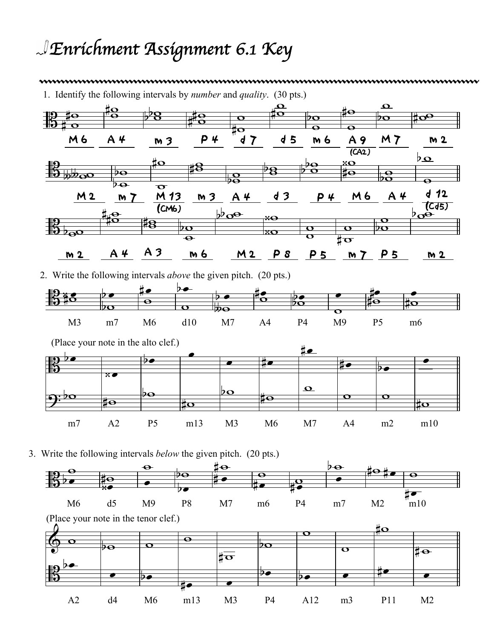## *Enrichment Assignment 6.1 Key*